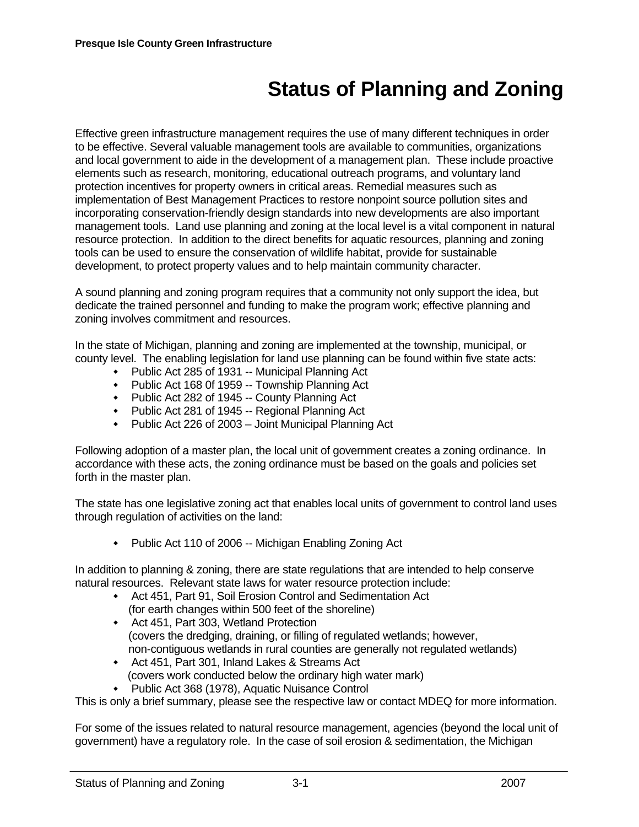## **Status of Planning and Zoning**

Effective green infrastructure management requires the use of many different techniques in order to be effective. Several valuable management tools are available to communities, organizations and local government to aide in the development of a management plan. These include proactive elements such as research, monitoring, educational outreach programs, and voluntary land protection incentives for property owners in critical areas. Remedial measures such as implementation of Best Management Practices to restore nonpoint source pollution sites and incorporating conservation-friendly design standards into new developments are also important management tools. Land use planning and zoning at the local level is a vital component in natural resource protection. In addition to the direct benefits for aquatic resources, planning and zoning tools can be used to ensure the conservation of wildlife habitat, provide for sustainable development, to protect property values and to help maintain community character.

A sound planning and zoning program requires that a community not only support the idea, but dedicate the trained personnel and funding to make the program work; effective planning and zoning involves commitment and resources.

In the state of Michigan, planning and zoning are implemented at the township, municipal, or county level. The enabling legislation for land use planning can be found within five state acts:

- Public Act 285 of 1931 -- Municipal Planning Act
- Public Act 168 0f 1959 -- Township Planning Act
- Public Act 282 of 1945 -- County Planning Act
- Public Act 281 of 1945 -- Regional Planning Act
- Public Act 226 of 2003 Joint Municipal Planning Act

Following adoption of a master plan, the local unit of government creates a zoning ordinance. In accordance with these acts, the zoning ordinance must be based on the goals and policies set forth in the master plan.

The state has one legislative zoning act that enables local units of government to control land uses through regulation of activities on the land:

• Public Act 110 of 2006 -- Michigan Enabling Zoning Act

In addition to planning & zoning, there are state regulations that are intended to help conserve natural resources. Relevant state laws for water resource protection include:

- Act 451, Part 91, Soil Erosion Control and Sedimentation Act (for earth changes within 500 feet of the shoreline)
- Act 451, Part 303, Wetland Protection (covers the dredging, draining, or filling of regulated wetlands; however, non-contiguous wetlands in rural counties are generally not regulated wetlands)
- Act 451, Part 301, Inland Lakes & Streams Act (covers work conducted below the ordinary high water mark)
- Public Act 368 (1978), Aquatic Nuisance Control

This is only a brief summary, please see the respective law or contact MDEQ for more information.

For some of the issues related to natural resource management, agencies (beyond the local unit of government) have a regulatory role. In the case of soil erosion & sedimentation, the Michigan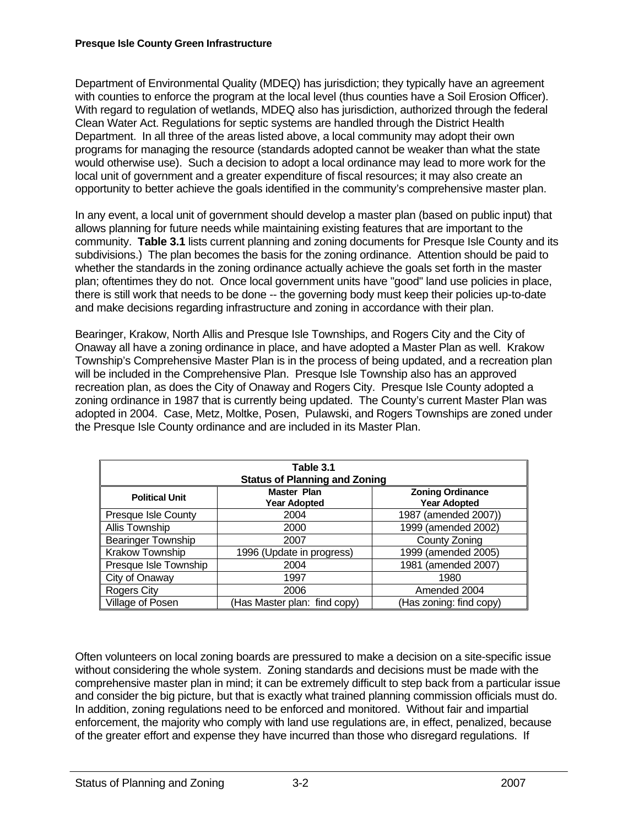## **Presque Isle County Green Infrastructure**

Department of Environmental Quality (MDEQ) has jurisdiction; they typically have an agreement with counties to enforce the program at the local level (thus counties have a Soil Erosion Officer). With regard to regulation of wetlands, MDEQ also has jurisdiction, authorized through the federal Clean Water Act. Regulations for septic systems are handled through the District Health Department. In all three of the areas listed above, a local community may adopt their own programs for managing the resource (standards adopted cannot be weaker than what the state would otherwise use). Such a decision to adopt a local ordinance may lead to more work for the local unit of government and a greater expenditure of fiscal resources; it may also create an opportunity to better achieve the goals identified in the community's comprehensive master plan.

In any event, a local unit of government should develop a master plan (based on public input) that allows planning for future needs while maintaining existing features that are important to the community. **Table 3.1** lists current planning and zoning documents for Presque Isle County and its subdivisions.) The plan becomes the basis for the zoning ordinance. Attention should be paid to whether the standards in the zoning ordinance actually achieve the goals set forth in the master plan; oftentimes they do not. Once local government units have "good" land use policies in place, there is still work that needs to be done -- the governing body must keep their policies up-to-date and make decisions regarding infrastructure and zoning in accordance with their plan.

Bearinger, Krakow, North Allis and Presque Isle Townships, and Rogers City and the City of Onaway all have a zoning ordinance in place, and have adopted a Master Plan as well. Krakow Township's Comprehensive Master Plan is in the process of being updated, and a recreation plan will be included in the Comprehensive Plan. Presque Isle Township also has an approved recreation plan, as does the City of Onaway and Rogers City. Presque Isle County adopted a zoning ordinance in 1987 that is currently being updated. The County's current Master Plan was adopted in 2004. Case, Metz, Moltke, Posen, Pulawski, and Rogers Townships are zoned under the Presque Isle County ordinance and are included in its Master Plan.

| Table 3.1<br><b>Status of Planning and Zoning</b> |                                           |                                                |  |  |  |  |  |  |
|---------------------------------------------------|-------------------------------------------|------------------------------------------------|--|--|--|--|--|--|
| <b>Political Unit</b>                             | <b>Master Plan</b><br><b>Year Adopted</b> | <b>Zoning Ordinance</b><br><b>Year Adopted</b> |  |  |  |  |  |  |
| Presque Isle County                               | 2004                                      | 1987 (amended 2007))                           |  |  |  |  |  |  |
| Allis Township                                    | 2000                                      | 1999 (amended 2002)                            |  |  |  |  |  |  |
| <b>Bearinger Township</b>                         | 2007                                      | County Zoning                                  |  |  |  |  |  |  |
| Krakow Township                                   | 1996 (Update in progress)                 | 1999 (amended 2005)                            |  |  |  |  |  |  |
| Presque Isle Township                             | 2004                                      | 1981 (amended 2007)                            |  |  |  |  |  |  |
| City of Onaway                                    | 1997                                      | 1980                                           |  |  |  |  |  |  |
| <b>Rogers City</b>                                | 2006                                      | Amended 2004                                   |  |  |  |  |  |  |
| Village of Posen                                  | (Has Master plan: find copy)              | (Has zoning: find copy)                        |  |  |  |  |  |  |

Often volunteers on local zoning boards are pressured to make a decision on a site-specific issue without considering the whole system. Zoning standards and decisions must be made with the comprehensive master plan in mind; it can be extremely difficult to step back from a particular issue and consider the big picture, but that is exactly what trained planning commission officials must do. In addition, zoning regulations need to be enforced and monitored. Without fair and impartial enforcement, the majority who comply with land use regulations are, in effect, penalized, because of the greater effort and expense they have incurred than those who disregard regulations. If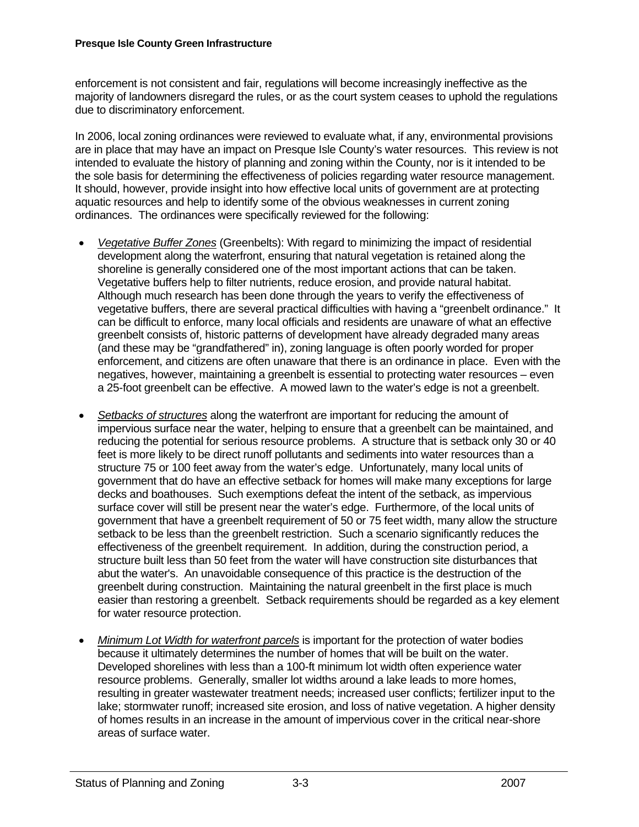enforcement is not consistent and fair, regulations will become increasingly ineffective as the majority of landowners disregard the rules, or as the court system ceases to uphold the regulations due to discriminatory enforcement.

In 2006, local zoning ordinances were reviewed to evaluate what, if any, environmental provisions are in place that may have an impact on Presque Isle County's water resources. This review is not intended to evaluate the history of planning and zoning within the County, nor is it intended to be the sole basis for determining the effectiveness of policies regarding water resource management. It should, however, provide insight into how effective local units of government are at protecting aquatic resources and help to identify some of the obvious weaknesses in current zoning ordinances. The ordinances were specifically reviewed for the following:

- *Vegetative Buffer Zones* (Greenbelts): With regard to minimizing the impact of residential development along the waterfront, ensuring that natural vegetation is retained along the shoreline is generally considered one of the most important actions that can be taken. Vegetative buffers help to filter nutrients, reduce erosion, and provide natural habitat. Although much research has been done through the years to verify the effectiveness of vegetative buffers, there are several practical difficulties with having a "greenbelt ordinance." It can be difficult to enforce, many local officials and residents are unaware of what an effective greenbelt consists of, historic patterns of development have already degraded many areas (and these may be "grandfathered" in), zoning language is often poorly worded for proper enforcement, and citizens are often unaware that there is an ordinance in place. Even with the negatives, however, maintaining a greenbelt is essential to protecting water resources – even a 25-foot greenbelt can be effective. A mowed lawn to the water's edge is not a greenbelt.
- *Setbacks of structures* along the waterfront are important for reducing the amount of impervious surface near the water, helping to ensure that a greenbelt can be maintained, and reducing the potential for serious resource problems. A structure that is setback only 30 or 40 feet is more likely to be direct runoff pollutants and sediments into water resources than a structure 75 or 100 feet away from the water's edge. Unfortunately, many local units of government that do have an effective setback for homes will make many exceptions for large decks and boathouses. Such exemptions defeat the intent of the setback, as impervious surface cover will still be present near the water's edge. Furthermore, of the local units of government that have a greenbelt requirement of 50 or 75 feet width, many allow the structure setback to be less than the greenbelt restriction. Such a scenario significantly reduces the effectiveness of the greenbelt requirement. In addition, during the construction period, a structure built less than 50 feet from the water will have construction site disturbances that abut the water's. An unavoidable consequence of this practice is the destruction of the greenbelt during construction. Maintaining the natural greenbelt in the first place is much easier than restoring a greenbelt. Setback requirements should be regarded as a key element for water resource protection.
- Minimum Lot Width for waterfront parcels is important for the protection of water bodies because it ultimately determines the number of homes that will be built on the water. Developed shorelines with less than a 100-ft minimum lot width often experience water resource problems. Generally, smaller lot widths around a lake leads to more homes, resulting in greater wastewater treatment needs; increased user conflicts; fertilizer input to the lake; stormwater runoff; increased site erosion, and loss of native vegetation. A higher density of homes results in an increase in the amount of impervious cover in the critical near-shore areas of surface water.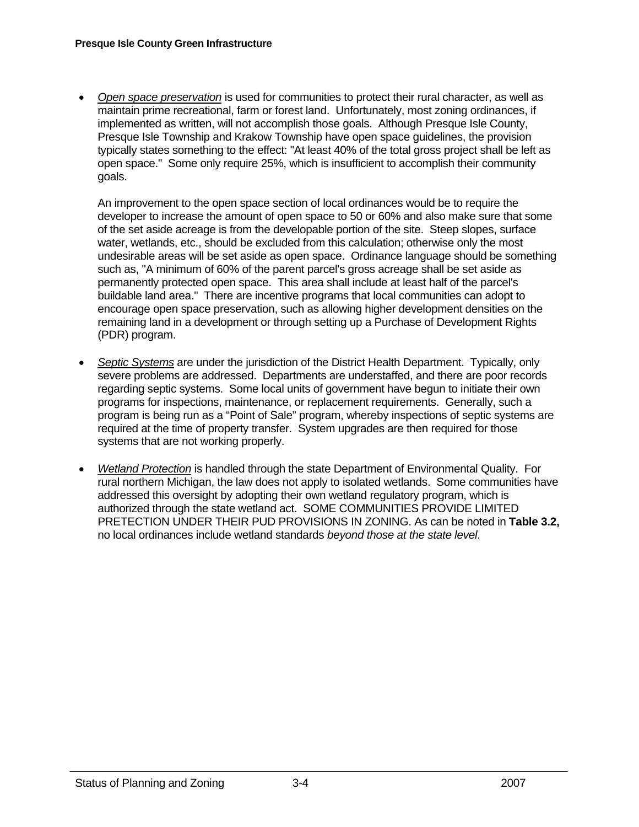• *Open space preservation* is used for communities to protect their rural character, as well as maintain prime recreational, farm or forest land. Unfortunately, most zoning ordinances, if implemented as written, will not accomplish those goals. Although Presque Isle County, Presque Isle Township and Krakow Township have open space guidelines, the provision typically states something to the effect: "At least 40% of the total gross project shall be left as open space." Some only require 25%, which is insufficient to accomplish their community goals.

 An improvement to the open space section of local ordinances would be to require the developer to increase the amount of open space to 50 or 60% and also make sure that some of the set aside acreage is from the developable portion of the site. Steep slopes, surface water, wetlands, etc., should be excluded from this calculation; otherwise only the most undesirable areas will be set aside as open space. Ordinance language should be something such as, "A minimum of 60% of the parent parcel's gross acreage shall be set aside as permanently protected open space. This area shall include at least half of the parcel's buildable land area." There are incentive programs that local communities can adopt to encourage open space preservation, such as allowing higher development densities on the remaining land in a development or through setting up a Purchase of Development Rights (PDR) program.

- *Septic Systems* are under the jurisdiction of the District Health Department. Typically, only severe problems are addressed. Departments are understaffed, and there are poor records regarding septic systems. Some local units of government have begun to initiate their own programs for inspections, maintenance, or replacement requirements. Generally, such a program is being run as a "Point of Sale" program, whereby inspections of septic systems are required at the time of property transfer. System upgrades are then required for those systems that are not working properly.
- *Wetland Protection* is handled through the state Department of Environmental Quality. For rural northern Michigan, the law does not apply to isolated wetlands. Some communities have addressed this oversight by adopting their own wetland regulatory program, which is authorized through the state wetland act. SOME COMMUNITIES PROVIDE LIMITED PRETECTION UNDER THEIR PUD PROVISIONS IN ZONING. As can be noted in **Table 3.2,**  no local ordinances include wetland standards *beyond those at the state level*.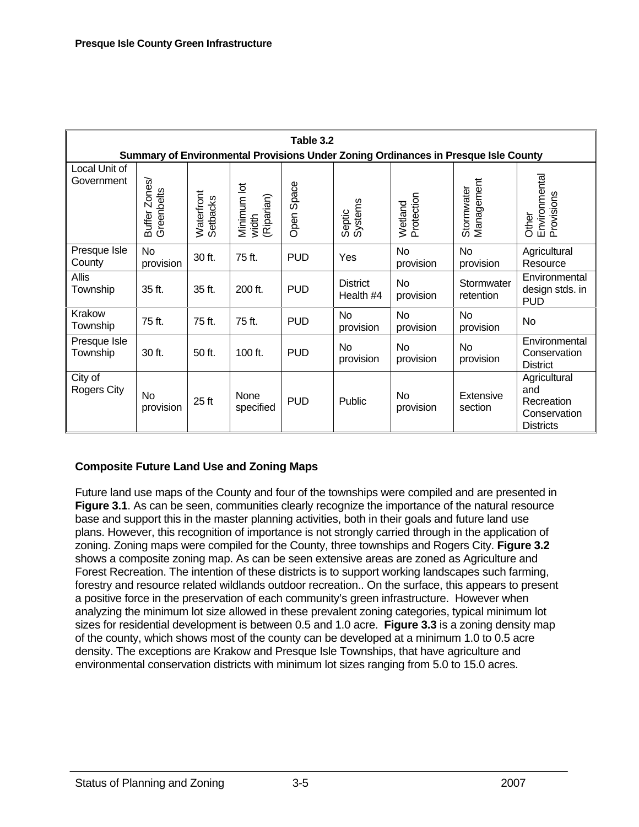| Table 3.2                                                                          |                             |                        |                                    |            |                              |                        |                          |                                                                       |  |  |  |
|------------------------------------------------------------------------------------|-----------------------------|------------------------|------------------------------------|------------|------------------------------|------------------------|--------------------------|-----------------------------------------------------------------------|--|--|--|
| Summary of Environmental Provisions Under Zoning Ordinances in Presque Isle County |                             |                        |                                    |            |                              |                        |                          |                                                                       |  |  |  |
| Local Unit of<br>Government                                                        | Buffer Zones/<br>Greenbelts | Waterfront<br>Setbacks | Minimum lot<br>(Riparian)<br>width | Open Space | Systems<br>Septic            | Protection<br>Wetland  | Stormwater<br>Management | Environmental<br>Provisions<br>Other                                  |  |  |  |
| Presque Isle<br>County                                                             | <b>No</b><br>provision      | 30 ft.                 | 75 ft.                             | <b>PUD</b> | Yes                          | <b>No</b><br>provision | No<br>provision          | Agricultural<br>Resource                                              |  |  |  |
| Allis<br>Township                                                                  | 35 ft.                      | 35 ft.                 | 200 ft.                            | <b>PUD</b> | <b>District</b><br>Health #4 | No<br>provision        | Stormwater<br>retention  | Environmental<br>design stds. in<br><b>PUD</b>                        |  |  |  |
| Krakow<br>Township                                                                 | 75 ft.                      | 75 ft.                 | 75 ft.                             | <b>PUD</b> | No<br>provision              | <b>No</b><br>provision | No<br>provision          | No                                                                    |  |  |  |
| Presque Isle<br>Township                                                           | 30 ft.                      | 50 ft.                 | 100 ft.                            | <b>PUD</b> | No<br>provision              | No<br>provision        | No<br>provision          | Environmental<br>Conservation<br><b>District</b>                      |  |  |  |
| City of<br><b>Rogers City</b>                                                      | No<br>provision             | 25 <sub>ft</sub>       | None<br>specified                  | <b>PUD</b> | Public                       | No<br>provision        | Extensive<br>section     | Agricultural<br>and<br>Recreation<br>Conservation<br><b>Districts</b> |  |  |  |

## **Composite Future Land Use and Zoning Maps**

Future land use maps of the County and four of the townships were compiled and are presented in **Figure 3.1**. As can be seen, communities clearly recognize the importance of the natural resource base and support this in the master planning activities, both in their goals and future land use plans. However, this recognition of importance is not strongly carried through in the application of zoning. Zoning maps were compiled for the County, three townships and Rogers City. **Figure 3.2** shows a composite zoning map. As can be seen extensive areas are zoned as Agriculture and Forest Recreation. The intention of these districts is to support working landscapes such farming, forestry and resource related wildlands outdoor recreation.. On the surface, this appears to present a positive force in the preservation of each community's green infrastructure. However when analyzing the minimum lot size allowed in these prevalent zoning categories, typical minimum lot sizes for residential development is between 0.5 and 1.0 acre. **Figure 3.3** is a zoning density map of the county, which shows most of the county can be developed at a minimum 1.0 to 0.5 acre density. The exceptions are Krakow and Presque Isle Townships, that have agriculture and environmental conservation districts with minimum lot sizes ranging from 5.0 to 15.0 acres.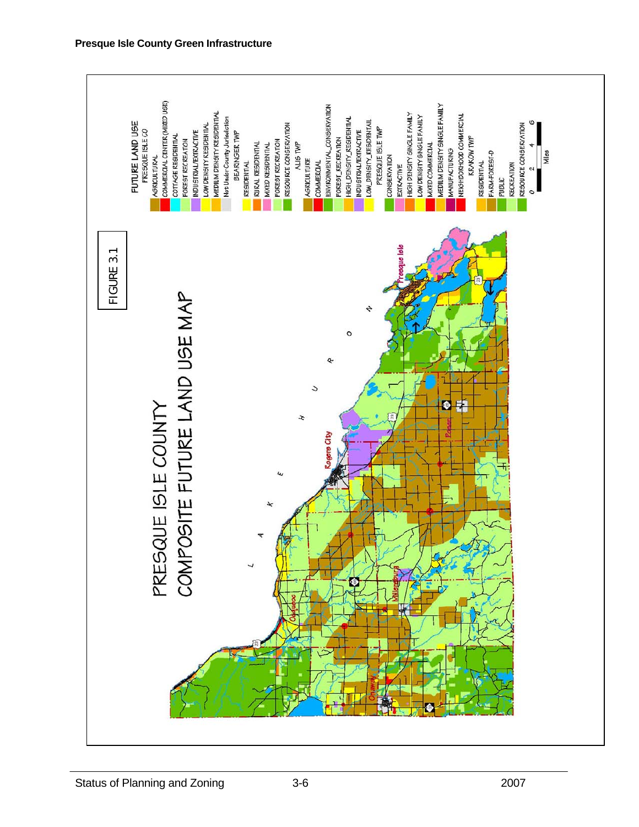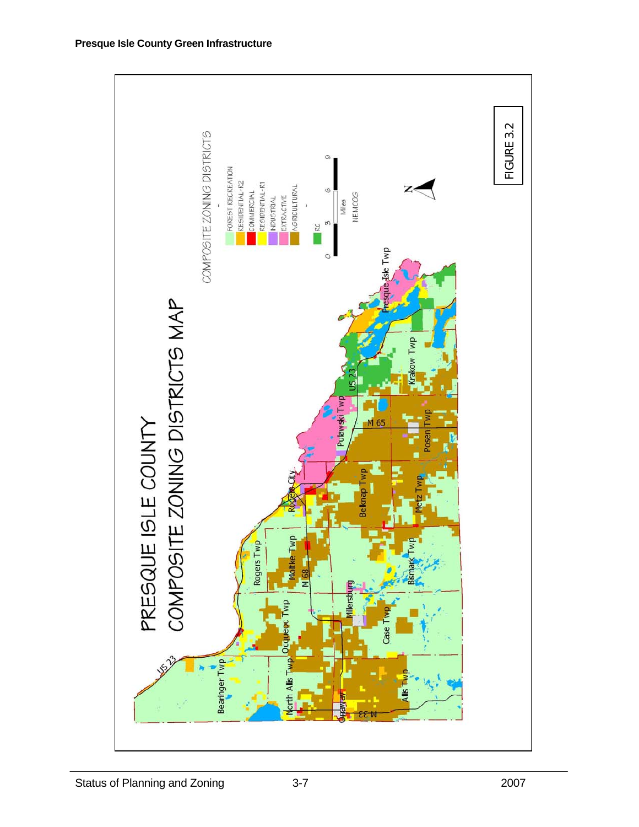